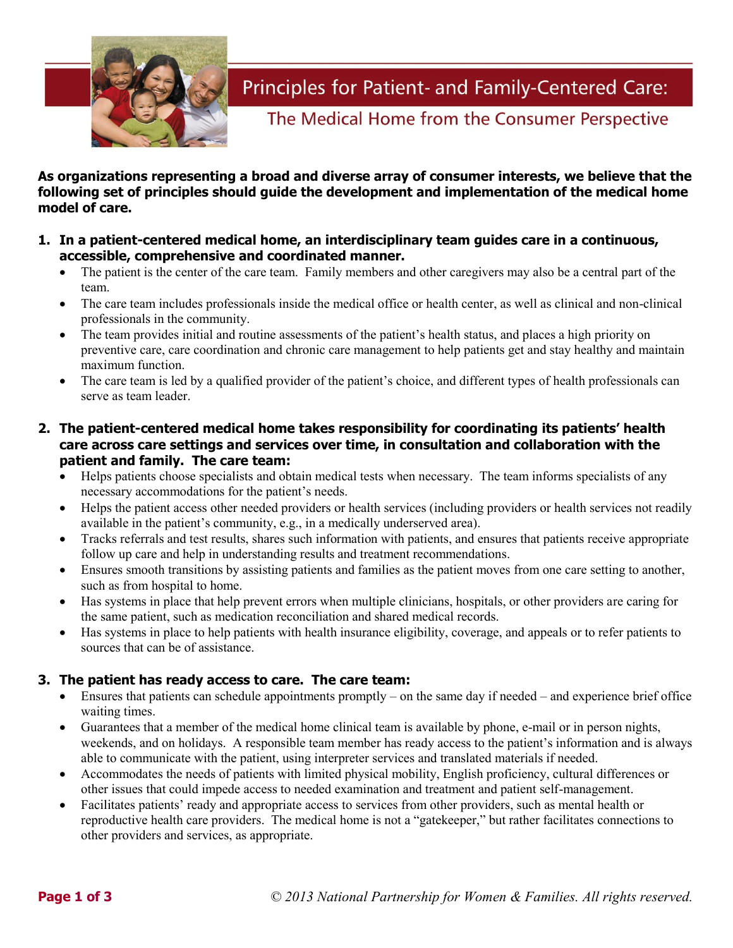

Principles for Patient- and Family-Centered Care:

The Medical Home from the Consumer Perspective

**As organizations representing a broad and diverse array of consumer interests, we believe that the following set of principles should guide the development and implementation of the medical home model of care.**

- **1. In a patient-centered medical home, an interdisciplinary team guides care in a continuous, accessible, comprehensive and coordinated manner.** 
	- The patient is the center of the care team. Family members and other caregivers may also be a central part of the team.
	- The care team includes professionals inside the medical office or health center, as well as clinical and non-clinical professionals in the community.
	- The team provides initial and routine assessments of the patient's health status, and places a high priority on preventive care, care coordination and chronic care management to help patients get and stay healthy and maintain maximum function.
	- The care team is led by a qualified provider of the patient's choice, and different types of health professionals can serve as team leader.
- **2. The patient-centered medical home takes responsibility for coordinating its patients' health care across care settings and services over time, in consultation and collaboration with the patient and family. The care team:**
	- Helps patients choose specialists and obtain medical tests when necessary. The team informs specialists of any necessary accommodations for the patient's needs.
	- Helps the patient access other needed providers or health services (including providers or health services not readily available in the patient's community, e.g., in a medically underserved area).
	- Tracks referrals and test results, shares such information with patients, and ensures that patients receive appropriate follow up care and help in understanding results and treatment recommendations.
	- Ensures smooth transitions by assisting patients and families as the patient moves from one care setting to another, such as from hospital to home.
	- Has systems in place that help prevent errors when multiple clinicians, hospitals, or other providers are caring for the same patient, such as medication reconciliation and shared medical records.
	- Has systems in place to help patients with health insurance eligibility, coverage, and appeals or to refer patients to sources that can be of assistance.

# **3. The patient has ready access to care. The care team:**

- Ensures that patients can schedule appointments promptly on the same day if needed and experience brief office waiting times.
- Guarantees that a member of the medical home clinical team is available by phone, e-mail or in person nights, weekends, and on holidays. A responsible team member has ready access to the patient's information and is always able to communicate with the patient, using interpreter services and translated materials if needed.
- Accommodates the needs of patients with limited physical mobility, English proficiency, cultural differences or other issues that could impede access to needed examination and treatment and patient self-management.
- Facilitates patients' ready and appropriate access to services from other providers, such as mental health or reproductive health care providers. The medical home is not a "gatekeeper," but rather facilitates connections to other providers and services, as appropriate.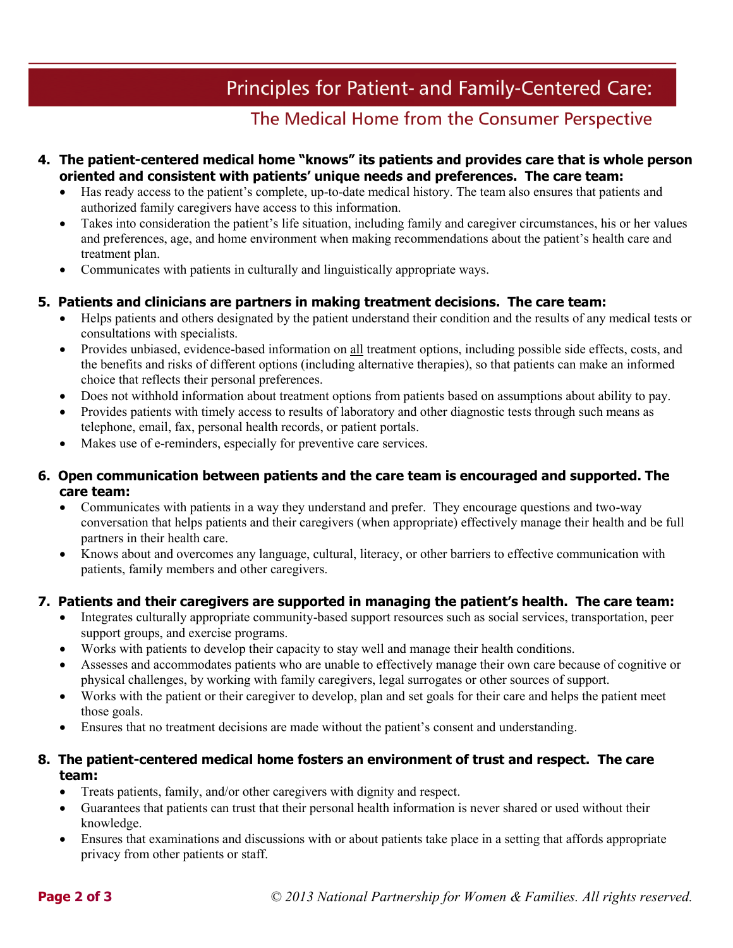# Principles for Patient- and Family-Centered Care:

# The Medical Home from the Consumer Perspective

### **4. The patient-centered medical home "knows" its patients and provides care that is whole person oriented and consistent with patients' unique needs and preferences. The care team:**

- Has ready access to the patient's complete, up-to-date medical history. The team also ensures that patients and authorized family caregivers have access to this information.
- Takes into consideration the patient's life situation, including family and caregiver circumstances, his or her values and preferences, age, and home environment when making recommendations about the patient's health care and treatment plan.
- Communicates with patients in culturally and linguistically appropriate ways.

# **5. Patients and clinicians are partners in making treatment decisions. The care team:**

- Helps patients and others designated by the patient understand their condition and the results of any medical tests or consultations with specialists.
- Provides unbiased, evidence-based information on all treatment options, including possible side effects, costs, and the benefits and risks of different options (including alternative therapies), so that patients can make an informed choice that reflects their personal preferences.
- Does not withhold information about treatment options from patients based on assumptions about ability to pay.
- Provides patients with timely access to results of laboratory and other diagnostic tests through such means as telephone, email, fax, personal health records, or patient portals.
- Makes use of e-reminders, especially for preventive care services.

### **6. Open communication between patients and the care team is encouraged and supported. The care team:**

- Communicates with patients in a way they understand and prefer. They encourage questions and two-way conversation that helps patients and their caregivers (when appropriate) effectively manage their health and be full partners in their health care.
- Knows about and overcomes any language, cultural, literacy, or other barriers to effective communication with patients, family members and other caregivers.

# **7. Patients and their caregivers are supported in managing the patient's health. The care team:**

- Integrates culturally appropriate community-based support resources such as social services, transportation, peer support groups, and exercise programs.
- Works with patients to develop their capacity to stay well and manage their health conditions.
- Assesses and accommodates patients who are unable to effectively manage their own care because of cognitive or physical challenges, by working with family caregivers, legal surrogates or other sources of support.
- Works with the patient or their caregiver to develop, plan and set goals for their care and helps the patient meet those goals.
- Ensures that no treatment decisions are made without the patient's consent and understanding.

# **8. The patient-centered medical home fosters an environment of trust and respect. The care team:**

- Treats patients, family, and/or other caregivers with dignity and respect.
- Guarantees that patients can trust that their personal health information is never shared or used without their knowledge.
- Ensures that examinations and discussions with or about patients take place in a setting that affords appropriate privacy from other patients or staff.